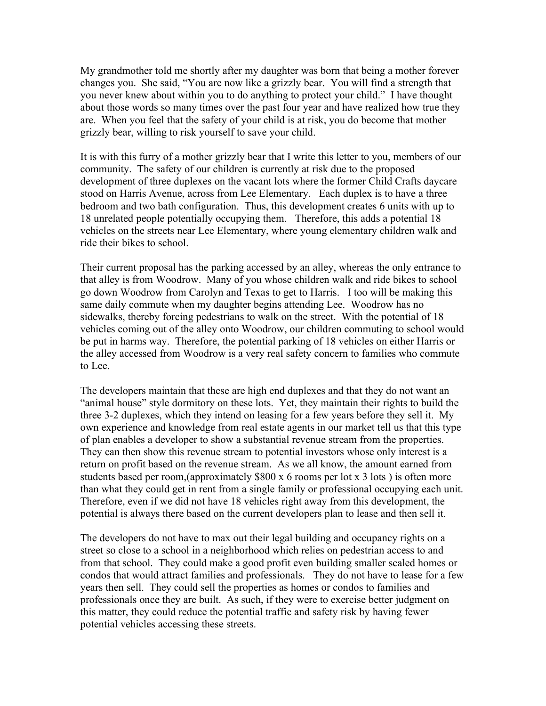My grandmother told me shortly after my daughter was born that being a mother forever changes you. She said, "You are now like a grizzly bear. You will find a strength that you never knew about within you to do anything to protect your child." I have thought about those words so many times over the past four year and have realized how true they are. When you feel that the safety of your child is at risk, you do become that mother grizzly bear, willing to risk yourself to save your child.

It is with this furry of a mother grizzly bear that I write this letter to you, members of our community. The safety of our children is currently at risk due to the proposed development of three duplexes on the vacant lots where the former Child Crafts daycare stood on Harris Avenue, across from Lee Elementary. Each duplex is to have a three bedroom and two bath configuration. Thus, this development creates 6 units with up to 18 unrelated people potentially occupying them. Therefore, this adds a potential 18 vehicles on the streets near Lee Elementary, where young elementary children walk and ride their bikes to school.

Their current proposal has the parking accessed by an alley, whereas the only entrance to that alley is from Woodrow. Many of you whose children walk and ride bikes to school go down Woodrow from Carolyn and Texas to get to Harris. I too will be making this same daily commute when my daughter begins attending Lee. Woodrow has no sidewalks, thereby forcing pedestrians to walk on the street. With the potential of 18 vehicles coming out of the alley onto Woodrow, our children commuting to school would be put in harms way. Therefore, the potential parking of 18 vehicles on either Harris or the alley accessed from Woodrow is a very real safety concern to families who commute to Lee.

The developers maintain that these are high end duplexes and that they do not want an "animal house" style dormitory on these lots. Yet, they maintain their rights to build the three 3-2 duplexes, which they intend on leasing for a few years before they sell it. My own experience and knowledge from real estate agents in our market tell us that this type of plan enables a developer to show a substantial revenue stream from the properties. They can then show this revenue stream to potential investors whose only interest is a return on profit based on the revenue stream. As we all know, the amount earned from students based per room,(approximately \$800 x 6 rooms per lot x 3 lots ) is often more than what they could get in rent from a single family or professional occupying each unit. Therefore, even if we did not have 18 vehicles right away from this development, the potential is always there based on the current developers plan to lease and then sell it.

The developers do not have to max out their legal building and occupancy rights on a street so close to a school in a neighborhood which relies on pedestrian access to and from that school. They could make a good profit even building smaller scaled homes or condos that would attract families and professionals. They do not have to lease for a few years then sell. They could sell the properties as homes or condos to families and professionals once they are built. As such, if they were to exercise better judgment on this matter, they could reduce the potential traffic and safety risk by having fewer potential vehicles accessing these streets.